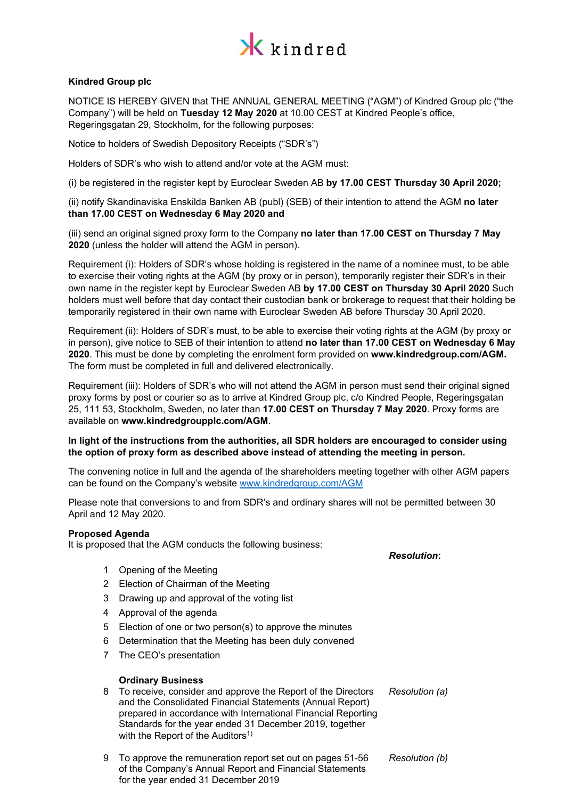

## **Kindred Group plc**

NOTICE IS HEREBY GIVEN that THE ANNUAL GENERAL MEETING ("AGM") of Kindred Group plc ("the Company") will be held on **Tuesday 12 May 2020** at 10.00 CEST at Kindred People's office, Regeringsgatan 29, Stockholm, for the following purposes:

Notice to holders of Swedish Depository Receipts ("SDR's")

Holders of SDR's who wish to attend and/or vote at the AGM must:

(i) be registered in the register kept by Euroclear Sweden AB **by 17.00 CEST Thursday 30 April 2020;**

(ii) notify Skandinaviska Enskilda Banken AB (publ) (SEB) of their intention to attend the AGM **no later than 17.00 CEST on Wednesday 6 May 2020 and** 

(iii) send an original signed proxy form to the Company **no later than 17.00 CEST on Thursday 7 May 2020** (unless the holder will attend the AGM in person).

Requirement (i): Holders of SDR's whose holding is registered in the name of a nominee must, to be able to exercise their voting rights at the AGM (by proxy or in person), temporarily register their SDR's in their own name in the register kept by Euroclear Sweden AB **by 17.00 CEST on Thursday 30 April 2020** Such holders must well before that day contact their custodian bank or brokerage to request that their holding be temporarily registered in their own name with Euroclear Sweden AB before Thursday 30 April 2020.

Requirement (ii): Holders of SDR's must, to be able to exercise their voting rights at the AGM (by proxy or in person), give notice to SEB of their intention to attend **no later than 17.00 CEST on Wednesday 6 May 2020**. This must be done by completing the enrolment form provided on **www.kindredgroup.com/AGM.**  The form must be completed in full and delivered electronically.

Requirement (iii): Holders of SDR's who will not attend the AGM in person must send their original signed proxy forms by post or courier so as to arrive at Kindred Group plc, c/o Kindred People, Regeringsgatan 25, 111 53, Stockholm, Sweden, no later than **17.00 CEST on Thursday 7 May 2020**. Proxy forms are available on **www.kindredgroupplc.com/AGM**.

## **In light of the instructions from the authorities, all SDR holders are encouraged to consider using the option of proxy form as described above instead of attending the meeting in person.**

The convening notice in full and the agenda of the shareholders meeting together with other AGM papers can be found on the Company's website [www.kindredgroup.com/](http://www.kindredgroup.com/)AGM

Please note that conversions to and from SDR's and ordinary shares will not be permitted between 30 April and 12 May 2020.

#### **Proposed Agenda**

It is proposed that the AGM conducts the following business:

- 1 Opening of the Meeting
- 2 Election of Chairman of the Meeting
- 3 Drawing up and approval of the voting list
- 4 Approval of the agenda
- 5 Election of one or two person(s) to approve the minutes
- 6 Determination that the Meeting has been duly convened
- 7 The CEO's presentation

#### **Ordinary Business**

- 8 To receive, consider and approve the Report of the Directors and the Consolidated Financial Statements (Annual Report) prepared in accordance with International Financial Reporting Standards for the year ended 31 December 2019, together with the Report of the Auditors<sup>1)</sup> *Resolution (a)*
- 9 To approve the remuneration report set out on pages 51-56 of the Company's Annual Report and Financial Statements for the year ended 31 December 2019 *Resolution (b)*

*Resolution***:**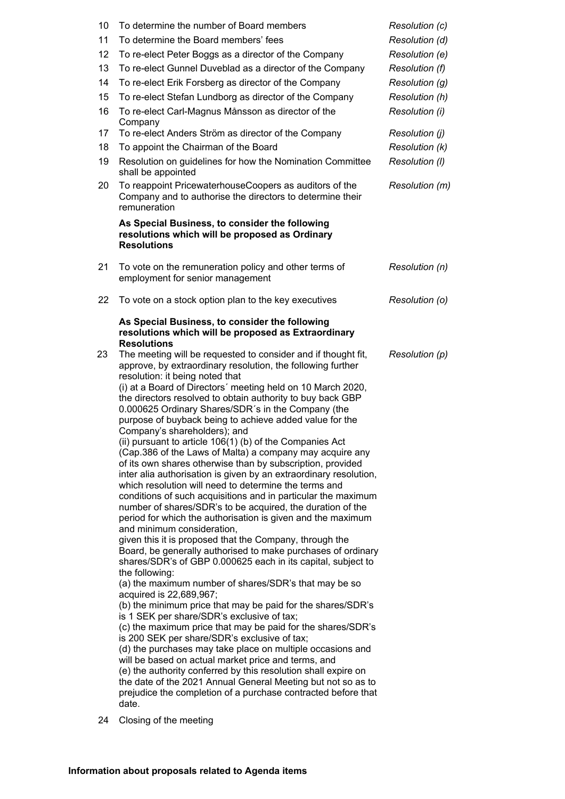| 10 | To determine the number of Board members                                                                                                                                                                                                                                                                                                                                                                                                                                                                                                                                                                                                                                                                                                                                                                                                                                                                                                                                                                                                                                                                                                                                                                                                                                                                                                                                                                                                                                                                                                                                                                                                                                                                                                                                                                                                                    | Resolution (c) |
|----|-------------------------------------------------------------------------------------------------------------------------------------------------------------------------------------------------------------------------------------------------------------------------------------------------------------------------------------------------------------------------------------------------------------------------------------------------------------------------------------------------------------------------------------------------------------------------------------------------------------------------------------------------------------------------------------------------------------------------------------------------------------------------------------------------------------------------------------------------------------------------------------------------------------------------------------------------------------------------------------------------------------------------------------------------------------------------------------------------------------------------------------------------------------------------------------------------------------------------------------------------------------------------------------------------------------------------------------------------------------------------------------------------------------------------------------------------------------------------------------------------------------------------------------------------------------------------------------------------------------------------------------------------------------------------------------------------------------------------------------------------------------------------------------------------------------------------------------------------------------|----------------|
| 11 | To determine the Board members' fees                                                                                                                                                                                                                                                                                                                                                                                                                                                                                                                                                                                                                                                                                                                                                                                                                                                                                                                                                                                                                                                                                                                                                                                                                                                                                                                                                                                                                                                                                                                                                                                                                                                                                                                                                                                                                        | Resolution (d) |
| 12 | To re-elect Peter Boggs as a director of the Company                                                                                                                                                                                                                                                                                                                                                                                                                                                                                                                                                                                                                                                                                                                                                                                                                                                                                                                                                                                                                                                                                                                                                                                                                                                                                                                                                                                                                                                                                                                                                                                                                                                                                                                                                                                                        | Resolution (e) |
| 13 | To re-elect Gunnel Duveblad as a director of the Company                                                                                                                                                                                                                                                                                                                                                                                                                                                                                                                                                                                                                                                                                                                                                                                                                                                                                                                                                                                                                                                                                                                                                                                                                                                                                                                                                                                                                                                                                                                                                                                                                                                                                                                                                                                                    | Resolution (f) |
| 14 | To re-elect Erik Forsberg as director of the Company                                                                                                                                                                                                                                                                                                                                                                                                                                                                                                                                                                                                                                                                                                                                                                                                                                                                                                                                                                                                                                                                                                                                                                                                                                                                                                                                                                                                                                                                                                                                                                                                                                                                                                                                                                                                        | Resolution (g) |
| 15 | To re-elect Stefan Lundborg as director of the Company                                                                                                                                                                                                                                                                                                                                                                                                                                                                                                                                                                                                                                                                                                                                                                                                                                                                                                                                                                                                                                                                                                                                                                                                                                                                                                                                                                                                                                                                                                                                                                                                                                                                                                                                                                                                      | Resolution (h) |
| 16 | To re-elect Carl-Magnus Månsson as director of the<br>Company                                                                                                                                                                                                                                                                                                                                                                                                                                                                                                                                                                                                                                                                                                                                                                                                                                                                                                                                                                                                                                                                                                                                                                                                                                                                                                                                                                                                                                                                                                                                                                                                                                                                                                                                                                                               | Resolution (i) |
| 17 | To re-elect Anders Ström as director of the Company                                                                                                                                                                                                                                                                                                                                                                                                                                                                                                                                                                                                                                                                                                                                                                                                                                                                                                                                                                                                                                                                                                                                                                                                                                                                                                                                                                                                                                                                                                                                                                                                                                                                                                                                                                                                         | Resolution (j) |
| 18 | To appoint the Chairman of the Board                                                                                                                                                                                                                                                                                                                                                                                                                                                                                                                                                                                                                                                                                                                                                                                                                                                                                                                                                                                                                                                                                                                                                                                                                                                                                                                                                                                                                                                                                                                                                                                                                                                                                                                                                                                                                        | Resolution (k) |
| 19 | Resolution on guidelines for how the Nomination Committee<br>shall be appointed                                                                                                                                                                                                                                                                                                                                                                                                                                                                                                                                                                                                                                                                                                                                                                                                                                                                                                                                                                                                                                                                                                                                                                                                                                                                                                                                                                                                                                                                                                                                                                                                                                                                                                                                                                             | Resolution (I) |
| 20 | To reappoint PricewaterhouseCoopers as auditors of the<br>Company and to authorise the directors to determine their<br>remuneration                                                                                                                                                                                                                                                                                                                                                                                                                                                                                                                                                                                                                                                                                                                                                                                                                                                                                                                                                                                                                                                                                                                                                                                                                                                                                                                                                                                                                                                                                                                                                                                                                                                                                                                         | Resolution (m) |
|    | As Special Business, to consider the following<br>resolutions which will be proposed as Ordinary<br><b>Resolutions</b>                                                                                                                                                                                                                                                                                                                                                                                                                                                                                                                                                                                                                                                                                                                                                                                                                                                                                                                                                                                                                                                                                                                                                                                                                                                                                                                                                                                                                                                                                                                                                                                                                                                                                                                                      |                |
| 21 | To vote on the remuneration policy and other terms of<br>employment for senior management                                                                                                                                                                                                                                                                                                                                                                                                                                                                                                                                                                                                                                                                                                                                                                                                                                                                                                                                                                                                                                                                                                                                                                                                                                                                                                                                                                                                                                                                                                                                                                                                                                                                                                                                                                   | Resolution (n) |
| 22 | To vote on a stock option plan to the key executives                                                                                                                                                                                                                                                                                                                                                                                                                                                                                                                                                                                                                                                                                                                                                                                                                                                                                                                                                                                                                                                                                                                                                                                                                                                                                                                                                                                                                                                                                                                                                                                                                                                                                                                                                                                                        | Resolution (o) |
|    | As Special Business, to consider the following<br>resolutions which will be proposed as Extraordinary<br><b>Resolutions</b>                                                                                                                                                                                                                                                                                                                                                                                                                                                                                                                                                                                                                                                                                                                                                                                                                                                                                                                                                                                                                                                                                                                                                                                                                                                                                                                                                                                                                                                                                                                                                                                                                                                                                                                                 |                |
| 23 | The meeting will be requested to consider and if thought fit,<br>approve, by extraordinary resolution, the following further<br>resolution: it being noted that<br>(i) at a Board of Directors' meeting held on 10 March 2020,<br>the directors resolved to obtain authority to buy back GBP<br>0.000625 Ordinary Shares/SDR's in the Company (the<br>purpose of buyback being to achieve added value for the<br>Company's shareholders); and<br>(ii) pursuant to article 106(1) (b) of the Companies Act<br>(Cap.386 of the Laws of Malta) a company may acquire any<br>of its own shares otherwise than by subscription, provided<br>inter alia authorisation is given by an extraordinary resolution,<br>which resolution will need to determine the terms and<br>conditions of such acquisitions and in particular the maximum<br>number of shares/SDR's to be acquired, the duration of the<br>period for which the authorisation is given and the maximum<br>and minimum consideration,<br>given this it is proposed that the Company, through the<br>Board, be generally authorised to make purchases of ordinary<br>shares/SDR's of GBP 0.000625 each in its capital, subject to<br>the following:<br>(a) the maximum number of shares/SDR's that may be so<br>acquired is 22,689,967;<br>(b) the minimum price that may be paid for the shares/SDR's<br>is 1 SEK per share/SDR's exclusive of tax;<br>(c) the maximum price that may be paid for the shares/SDR's<br>is 200 SEK per share/SDR's exclusive of tax;<br>(d) the purchases may take place on multiple occasions and<br>will be based on actual market price and terms, and<br>(e) the authority conferred by this resolution shall expire on<br>the date of the 2021 Annual General Meeting but not so as to<br>prejudice the completion of a purchase contracted before that<br>date. | Resolution (p) |
| 24 | Closing of the meeting                                                                                                                                                                                                                                                                                                                                                                                                                                                                                                                                                                                                                                                                                                                                                                                                                                                                                                                                                                                                                                                                                                                                                                                                                                                                                                                                                                                                                                                                                                                                                                                                                                                                                                                                                                                                                                      |                |
|    |                                                                                                                                                                                                                                                                                                                                                                                                                                                                                                                                                                                                                                                                                                                                                                                                                                                                                                                                                                                                                                                                                                                                                                                                                                                                                                                                                                                                                                                                                                                                                                                                                                                                                                                                                                                                                                                             |                |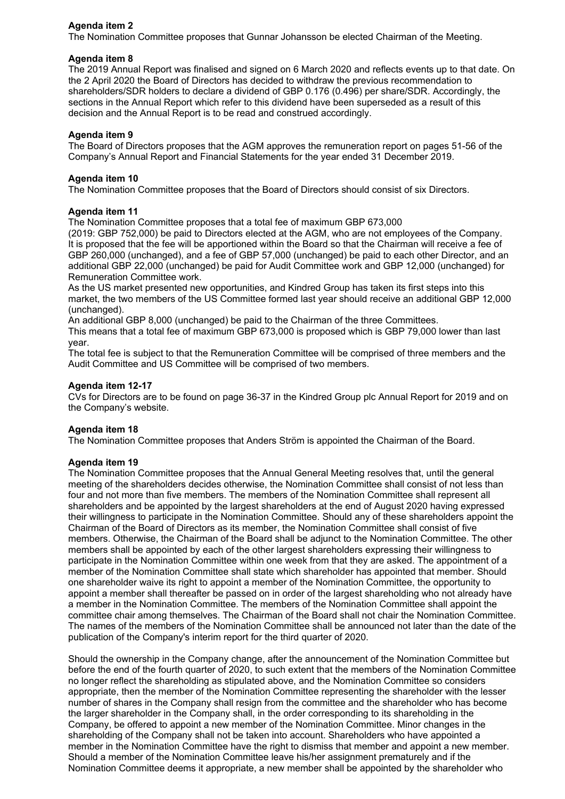# **Agenda item 2**

The Nomination Committee proposes that Gunnar Johansson be elected Chairman of the Meeting.

## **Agenda item 8**

The 2019 Annual Report was finalised and signed on 6 March 2020 and reflects events up to that date. On the 2 April 2020 the Board of Directors has decided to withdraw the previous recommendation to shareholders/SDR holders to declare a dividend of GBP 0.176 (0.496) per share/SDR. Accordingly, the sections in the Annual Report which refer to this dividend have been superseded as a result of this decision and the Annual Report is to be read and construed accordingly.

#### **Agenda item 9**

The Board of Directors proposes that the AGM approves the remuneration report on pages 51-56 of the Company's Annual Report and Financial Statements for the year ended 31 December 2019.

#### **Agenda item 10**

The Nomination Committee proposes that the Board of Directors should consist of six Directors.

## **Agenda item 11**

The Nomination Committee proposes that a total fee of maximum GBP 673,000

(2019: GBP 752,000) be paid to Directors elected at the AGM, who are not employees of the Company. It is proposed that the fee will be apportioned within the Board so that the Chairman will receive a fee of GBP 260,000 (unchanged), and a fee of GBP 57,000 (unchanged) be paid to each other Director, and an additional GBP 22,000 (unchanged) be paid for Audit Committee work and GBP 12,000 (unchanged) for Remuneration Committee work.

As the US market presented new opportunities, and Kindred Group has taken its first steps into this market, the two members of the US Committee formed last year should receive an additional GBP 12,000 (unchanged).

An additional GBP 8,000 (unchanged) be paid to the Chairman of the three Committees.

This means that a total fee of maximum GBP 673,000 is proposed which is GBP 79,000 lower than last year.

The total fee is subject to that the Remuneration Committee will be comprised of three members and the Audit Committee and US Committee will be comprised of two members.

#### **Agenda item 12-17**

CVs for Directors are to be found on page 36-37 in the Kindred Group plc Annual Report for 2019 and on the Company's website.

## **Agenda item 18**

The Nomination Committee proposes that Anders Ström is appointed the Chairman of the Board.

#### **Agenda item 19**

The Nomination Committee proposes that the Annual General Meeting resolves that, until the general meeting of the shareholders decides otherwise, the Nomination Committee shall consist of not less than four and not more than five members. The members of the Nomination Committee shall represent all shareholders and be appointed by the largest shareholders at the end of August 2020 having expressed their willingness to participate in the Nomination Committee. Should any of these shareholders appoint the Chairman of the Board of Directors as its member, the Nomination Committee shall consist of five members. Otherwise, the Chairman of the Board shall be adjunct to the Nomination Committee. The other members shall be appointed by each of the other largest shareholders expressing their willingness to participate in the Nomination Committee within one week from that they are asked. The appointment of a member of the Nomination Committee shall state which shareholder has appointed that member. Should one shareholder waive its right to appoint a member of the Nomination Committee, the opportunity to appoint a member shall thereafter be passed on in order of the largest shareholding who not already have a member in the Nomination Committee. The members of the Nomination Committee shall appoint the committee chair among themselves. The Chairman of the Board shall not chair the Nomination Committee. The names of the members of the Nomination Committee shall be announced not later than the date of the publication of the Company's interim report for the third quarter of 2020.

Should the ownership in the Company change, after the announcement of the Nomination Committee but before the end of the fourth quarter of 2020, to such extent that the members of the Nomination Committee no longer reflect the shareholding as stipulated above, and the Nomination Committee so considers appropriate, then the member of the Nomination Committee representing the shareholder with the lesser number of shares in the Company shall resign from the committee and the shareholder who has become the larger shareholder in the Company shall, in the order corresponding to its shareholding in the Company, be offered to appoint a new member of the Nomination Committee. Minor changes in the shareholding of the Company shall not be taken into account. Shareholders who have appointed a member in the Nomination Committee have the right to dismiss that member and appoint a new member. Should a member of the Nomination Committee leave his/her assignment prematurely and if the Nomination Committee deems it appropriate, a new member shall be appointed by the shareholder who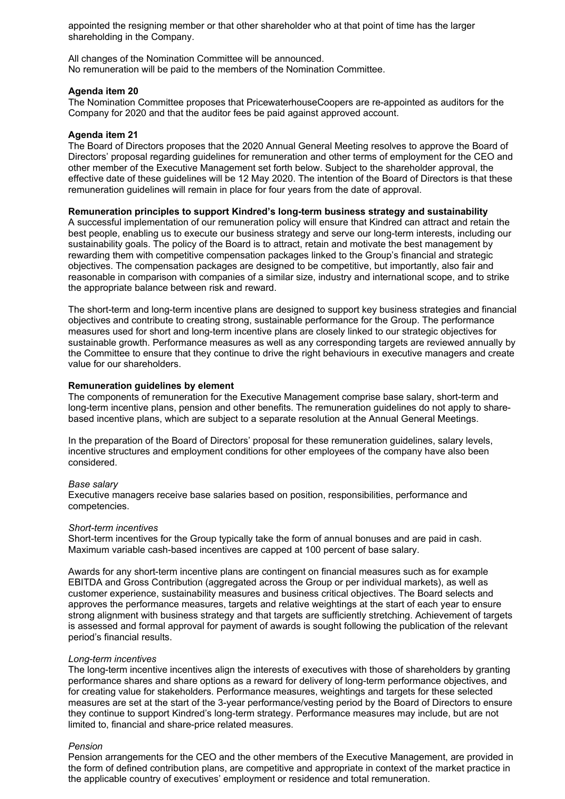appointed the resigning member or that other shareholder who at that point of time has the larger shareholding in the Company.

All changes of the Nomination Committee will be announced. No remuneration will be paid to the members of the Nomination Committee.

#### **Agenda item 20**

The Nomination Committee proposes that PricewaterhouseCoopers are re-appointed as auditors for the Company for 2020 and that the auditor fees be paid against approved account.

## **Agenda item 21**

The Board of Directors proposes that the 2020 Annual General Meeting resolves to approve the Board of Directors' proposal regarding guidelines for remuneration and other terms of employment for the CEO and other member of the Executive Management set forth below. Subject to the shareholder approval, the effective date of these guidelines will be 12 May 2020. The intention of the Board of Directors is that these remuneration guidelines will remain in place for four years from the date of approval.

## **Remuneration principles to support Kindred's long-term business strategy and sustainability**

A successful implementation of our remuneration policy will ensure that Kindred can attract and retain the best people, enabling us to execute our business strategy and serve our long-term interests, including our sustainability goals. The policy of the Board is to attract, retain and motivate the best management by rewarding them with competitive compensation packages linked to the Group's financial and strategic objectives. The compensation packages are designed to be competitive, but importantly, also fair and reasonable in comparison with companies of a similar size, industry and international scope, and to strike the appropriate balance between risk and reward.

The short-term and long-term incentive plans are designed to support key business strategies and financial objectives and contribute to creating strong, sustainable performance for the Group. The performance measures used for short and long-term incentive plans are closely linked to our strategic objectives for sustainable growth. Performance measures as well as any corresponding targets are reviewed annually by the Committee to ensure that they continue to drive the right behaviours in executive managers and create value for our shareholders.

#### **Remuneration guidelines by element**

The components of remuneration for the Executive Management comprise base salary, short-term and long-term incentive plans, pension and other benefits. The remuneration guidelines do not apply to sharebased incentive plans, which are subject to a separate resolution at the Annual General Meetings.

In the preparation of the Board of Directors' proposal for these remuneration guidelines, salary levels, incentive structures and employment conditions for other employees of the company have also been considered.

#### *Base salary*

Executive managers receive base salaries based on position, responsibilities, performance and competencies.

#### *Short-term incentives*

Short-term incentives for the Group typically take the form of annual bonuses and are paid in cash. Maximum variable cash-based incentives are capped at 100 percent of base salary.

Awards for any short-term incentive plans are contingent on financial measures such as for example EBITDA and Gross Contribution (aggregated across the Group or per individual markets), as well as customer experience, sustainability measures and business critical objectives. The Board selects and approves the performance measures, targets and relative weightings at the start of each year to ensure strong alignment with business strategy and that targets are sufficiently stretching. Achievement of targets is assessed and formal approval for payment of awards is sought following the publication of the relevant period's financial results.

## *Long-term incentives*

The long-term incentive incentives align the interests of executives with those of shareholders by granting performance shares and share options as a reward for delivery of long-term performance objectives, and for creating value for stakeholders. Performance measures, weightings and targets for these selected measures are set at the start of the 3-year performance/vesting period by the Board of Directors to ensure they continue to support Kindred's long-term strategy. Performance measures may include, but are not limited to, financial and share-price related measures.

#### *Pension*

Pension arrangements for the CEO and the other members of the Executive Management, are provided in the form of defined contribution plans, are competitive and appropriate in context of the market practice in the applicable country of executives' employment or residence and total remuneration.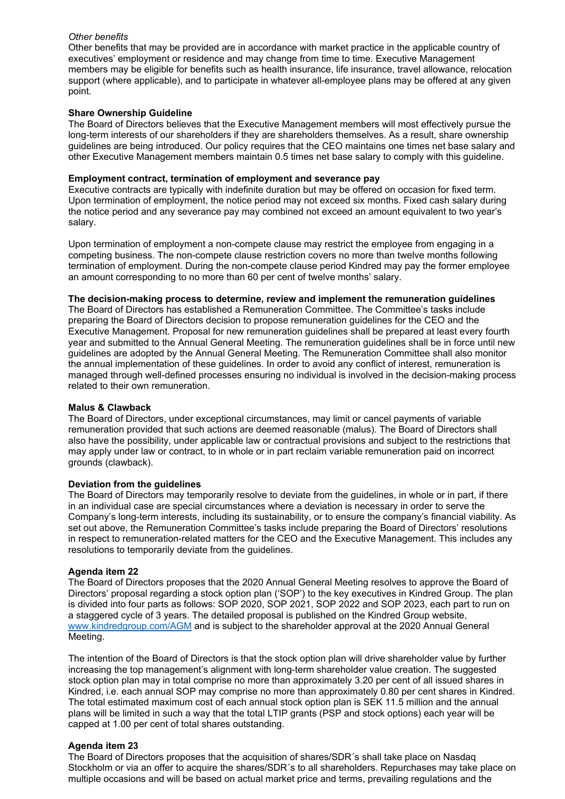## *Other benefits*

Other benefits that may be provided are in accordance with market practice in the applicable country of executives' employment or residence and may change from time to time. Executive Management members may be eligible for benefits such as health insurance, life insurance, travel allowance, relocation support (where applicable), and to participate in whatever all-employee plans may be offered at any given point.

## **Share Ownership Guideline**

The Board of Directors believes that the Executive Management members will most effectively pursue the long-term interests of our shareholders if they are shareholders themselves. As a result, share ownership guidelines are being introduced. Our policy requires that the CEO maintains one times net base salary and other Executive Management members maintain 0.5 times net base salary to comply with this guideline.

#### **Employment contract, termination of employment and severance pay**

Executive contracts are typically with indefinite duration but may be offered on occasion for fixed term. Upon termination of employment, the notice period may not exceed six months. Fixed cash salary during the notice period and any severance pay may combined not exceed an amount equivalent to two year's salary.

Upon termination of employment a non-compete clause may restrict the employee from engaging in a competing business. The non-compete clause restriction covers no more than twelve months following termination of employment. During the non-compete clause period Kindred may pay the former employee an amount corresponding to no more than 60 per cent of twelve months' salary.

#### **The decision-making process to determine, review and implement the remuneration guidelines**

The Board of Directors has established a Remuneration Committee. The Committee's tasks include preparing the Board of Directors decision to propose remuneration guidelines for the CEO and the Executive Management. Proposal for new remuneration guidelines shall be prepared at least every fourth year and submitted to the Annual General Meeting. The remuneration guidelines shall be in force until new guidelines are adopted by the Annual General Meeting. The Remuneration Committee shall also monitor the annual implementation of these guidelines. In order to avoid any conflict of interest, remuneration is managed through well-defined processes ensuring no individual is involved in the decision-making process related to their own remuneration.

#### **Malus & Clawback**

The Board of Directors, under exceptional circumstances, may limit or cancel payments of variable remuneration provided that such actions are deemed reasonable (malus). The Board of Directors shall also have the possibility, under applicable law or contractual provisions and subject to the restrictions that may apply under law or contract, to in whole or in part reclaim variable remuneration paid on incorrect grounds (clawback).

#### **Deviation from the guidelines**

The Board of Directors may temporarily resolve to deviate from the guidelines, in whole or in part, if there in an individual case are special circumstances where a deviation is necessary in order to serve the Company's long-term interests, including its sustainability, or to ensure the company's financial viability. As set out above, the Remuneration Committee's tasks include preparing the Board of Directors' resolutions in respect to remuneration-related matters for the CEO and the Executive Management. This includes any resolutions to temporarily deviate from the guidelines.

## **Agenda item 22**

The Board of Directors proposes that the 2020 Annual General Meeting resolves to approve the Board of Directors' proposal regarding a stock option plan ('SOP') to the key executives in Kindred Group. The plan is divided into four parts as follows: SOP 2020, SOP 2021, SOP 2022 and SOP 2023, each part to run on a staggered cycle of 3 years. The detailed proposal is published on the Kindred Group website, [www.kindredgroup.com/AGM](http://www.kindredgroup.com/AGM) and is subject to the shareholder approval at the 2020 Annual General Meeting.

The intention of the Board of Directors is that the stock option plan will drive shareholder value by further increasing the top management's alignment with long-term shareholder value creation. The suggested stock option plan may in total comprise no more than approximately 3.20 per cent of all issued shares in Kindred, i.e. each annual SOP may comprise no more than approximately 0.80 per cent shares in Kindred. The total estimated maximum cost of each annual stock option plan is SEK 11.5 million and the annual plans will be limited in such a way that the total LTIP grants (PSP and stock options) each year will be capped at 1.00 per cent of total shares outstanding.

#### **Agenda item 23**

The Board of Directors proposes that the acquisition of shares/SDR´s shall take place on Nasdaq Stockholm or via an offer to acquire the shares/SDR´s to all shareholders. Repurchases may take place on multiple occasions and will be based on actual market price and terms, prevailing regulations and the